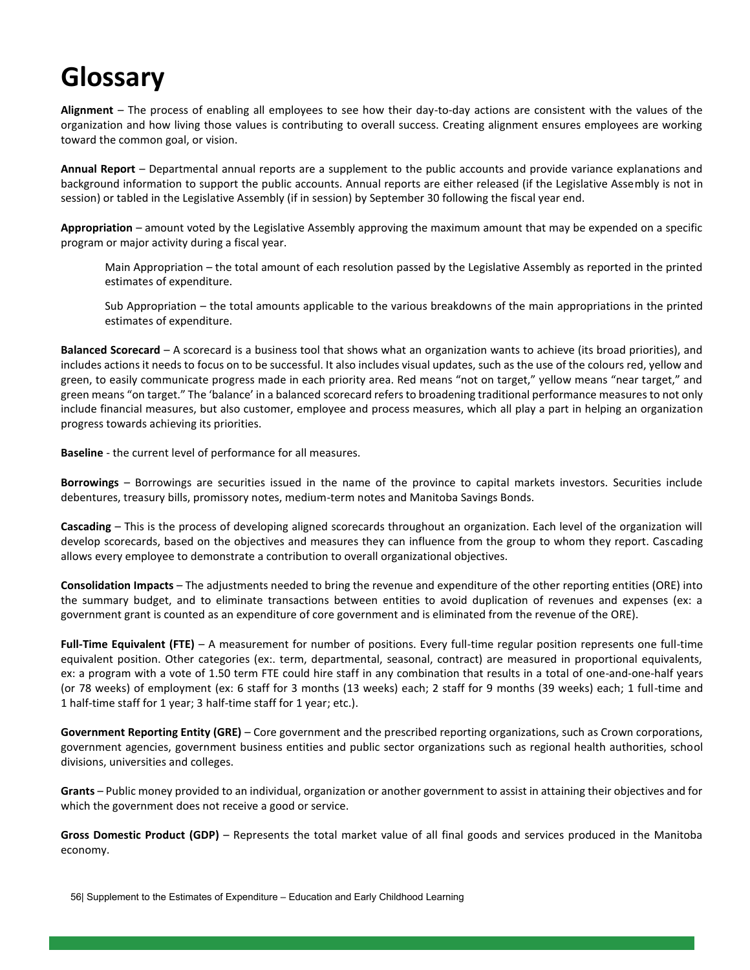## **Glossary**

**Alignment** – The process of enabling all employees to see how their day-to-day actions are consistent with the values of the organization and how living those values is contributing to overall success. Creating alignment ensures employees are working toward the common goal, or vision.

**Annual Report** – Departmental annual reports are a supplement to the public accounts and provide variance explanations and background information to support the public accounts. Annual reports are either released (if the Legislative Assembly is not in session) or tabled in the Legislative Assembly (if in session) by September 30 following the fiscal year end.

**Appropriation** – amount voted by the Legislative Assembly approving the maximum amount that may be expended on a specific program or major activity during a fiscal year.

Main Appropriation – the total amount of each resolution passed by the Legislative Assembly as reported in the printed estimates of expenditure.

Sub Appropriation – the total amounts applicable to the various breakdowns of the main appropriations in the printed estimates of expenditure.

**Balanced Scorecard** – A scorecard is a business tool that shows what an organization wants to achieve (its broad priorities), and includes actions it needs to focus on to be successful. It also includes visual updates, such as the use of the colours red, yellow and green, to easily communicate progress made in each priority area. Red means "not on target," yellow means "near target," and green means "on target." The 'balance' in a balanced scorecard refers to broadening traditional performance measures to not only include financial measures, but also customer, employee and process measures, which all play a part in helping an organization progress towards achieving its priorities.

**Baseline** - the current level of performance for all measures.

**Borrowings** – Borrowings are securities issued in the name of the province to capital markets investors. Securities include debentures, treasury bills, promissory notes, medium-term notes and Manitoba Savings Bonds.

**Cascading** – This is the process of developing aligned scorecards throughout an organization. Each level of the organization will develop scorecards, based on the objectives and measures they can influence from the group to whom they report. Cascading allows every employee to demonstrate a contribution to overall organizational objectives.

**Consolidation Impacts** – The adjustments needed to bring the revenue and expenditure of the other reporting entities (ORE) into the summary budget, and to eliminate transactions between entities to avoid duplication of revenues and expenses (ex: a government grant is counted as an expenditure of core government and is eliminated from the revenue of the ORE).

**Full-Time Equivalent (FTE)** – A measurement for number of positions. Every full-time regular position represents one full-time equivalent position. Other categories (ex:. term, departmental, seasonal, contract) are measured in proportional equivalents, ex: a program with a vote of 1.50 term FTE could hire staff in any combination that results in a total of one-and-one-half years (or 78 weeks) of employment (ex: 6 staff for 3 months (13 weeks) each; 2 staff for 9 months (39 weeks) each; 1 full-time and 1 half-time staff for 1 year; 3 half-time staff for 1 year; etc.).

**Government Reporting Entity (GRE)** – Core government and the prescribed reporting organizations, such as Crown corporations, government agencies, government business entities and public sector organizations such as regional health authorities, school divisions, universities and colleges.

**Grants** – Public money provided to an individual, organization or another government to assist in attaining their objectives and for which the government does not receive a good or service.

**Gross Domestic Product (GDP)** – Represents the total market value of all final goods and services produced in the Manitoba economy.

56| Supplement to the Estimates of Expenditure – Education and Early Childhood Learning